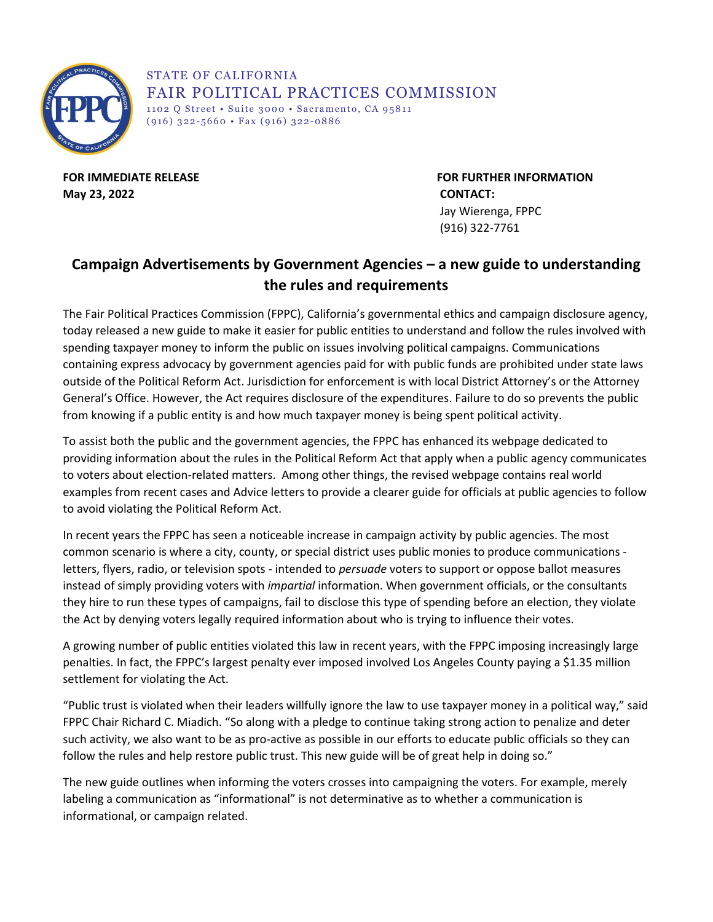

STATE OF CALIFORNIA FAIR POLITICAL PRACTICES COMMISSION 1102 Q Street • Suite 3000 • Sacramento, CA 95811  $(916)$  322-5660 • Fax (916) 322-0886

**May 23, 2022 CONTACT:**

**FOR IMMEDIATE RELEASE FOR FURTHER INFORMATION**  Jay Wierenga, FPPC (916) 322-7761

## **Campaign Advertisements by Government Agencies – a new guide to understanding the rules and requirements**

The Fair Political Practices Commission (FPPC), California's governmental ethics and campaign disclosure agency, today released a new guide to make it easier for public entities to understand and follow the rules involved with spending taxpayer money to inform the public on issues involving political campaigns. Communications containing express advocacy by government agencies paid for with public funds are prohibited under state laws outside of the Political Reform Act. Jurisdiction for enforcement is with local District Attorney's or the Attorney General's Office. However, the Act requires disclosure of the expenditures. Failure to do so prevents the public from knowing if a public entity is and how much taxpayer money is being spent political activity.

To assist both the public and the government agencies, the FPPC has enhanced its webpage dedicated to providing information about the rules in the Political Reform Act that apply when a public agency communicates to voters about election-related matters. Among other things, the revised webpage contains real world examples from recent cases and Advice letters to provide a clearer guide for officials at public agencies to follow to avoid violating the Political Reform Act.

In recent years the FPPC has seen a noticeable increase in campaign activity by public agencies. The most common scenario is where a city, county, or special district uses public monies to produce communications letters, flyers, radio, or television spots - intended to *persuade* voters to support or oppose ballot measures instead of simply providing voters with *impartial* information. When government officials, or the consultants they hire to run these types of campaigns, fail to disclose this type of spending before an election, they violate the Act by denying voters legally required information about who is trying to influence their votes.

A growing number of public entities violated this law in recent years, with the FPPC imposing increasingly large penalties. In fact, the FPPC's largest penalty ever imposed involved Los Angeles County paying a \$1.35 million settlement for violating the Act.

"Public trust is violated when their leaders willfully ignore the law to use taxpayer money in a political way," said FPPC Chair Richard C. Miadich. "So along with a pledge to continue taking strong action to penalize and deter such activity, we also want to be as pro-active as possible in our efforts to educate public officials so they can follow the rules and help restore public trust. This new guide will be of great help in doing so."

The new guide outlines when informing the voters crosses into campaigning the voters. For example, merely labeling a communication as "informational" is not determinative as to whether a communication is informational, or campaign related.